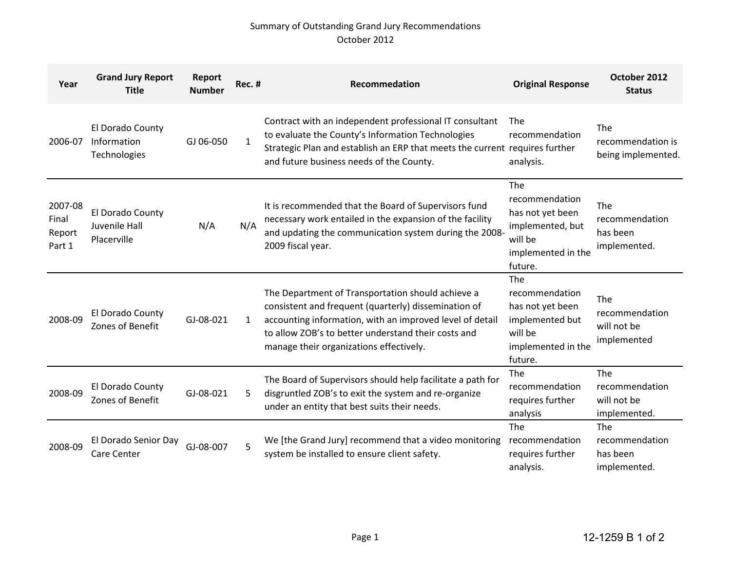## Summary of Outstanding Grand Jury Recommendations October 2012

| Year                                 | <b>Grand Jury Report</b><br><b>Title</b>         | Report<br><b>Number</b> | Rec. #       | Recommedation                                                                                                                                                                                                                                                           | <b>Original Response</b>                                                                                  | October 2012<br><b>Status</b>                            |
|--------------------------------------|--------------------------------------------------|-------------------------|--------------|-------------------------------------------------------------------------------------------------------------------------------------------------------------------------------------------------------------------------------------------------------------------------|-----------------------------------------------------------------------------------------------------------|----------------------------------------------------------|
| 2006-07                              | El Dorado County<br>Information<br>Technologies  | GJ 06-050               | $\mathbf{1}$ | Contract with an independent professional IT consultant<br>to evaluate the County's Information Technologies<br>Strategic Plan and establish an ERP that meets the current requires further<br>and future business needs of the County.                                 | The<br>recommendation<br>analysis.                                                                        | The<br>recommendation is<br>being implemented.           |
| 2007-08<br>Final<br>Report<br>Part 1 | El Dorado County<br>Juvenile Hall<br>Placerville | N/A                     | N/A          | It is recommended that the Board of Supervisors fund<br>necessary work entailed in the expansion of the facility<br>and updating the communication system during the 2008-<br>2009 fiscal year.                                                                         | The<br>recommendation<br>has not yet been<br>implemented, but<br>will be<br>implemented in the<br>future. | <b>The</b><br>recommendation<br>has been<br>implemented. |
| 2008-09                              | El Dorado County<br>Zones of Benefit             | GJ-08-021               | $\mathbf{1}$ | The Department of Transportation should achieve a<br>consistent and frequent (quarterly) dissemination of<br>accounting information, with an improved level of detail<br>to allow ZOB's to better understand their costs and<br>manage their organizations effectively. | The<br>recommendation<br>has not yet been<br>implemented but<br>will be<br>implemented in the<br>future.  | The<br>recommendation<br>will not be<br>implemented      |
| 2008-09                              | El Dorado County<br>Zones of Benefit             | GJ-08-021               | 5            | The Board of Supervisors should help facilitate a path for<br>disgruntled ZOB's to exit the system and re-organize<br>under an entity that best suits their needs.                                                                                                      | The<br>recommendation<br>requires further<br>analysis                                                     | The<br>recommendation<br>will not be<br>implemented.     |
| 2008-09                              | El Dorado Senior Day<br>Care Center              | GJ-08-007               | 5            | We [the Grand Jury] recommend that a video monitoring<br>system be installed to ensure client safety.                                                                                                                                                                   | The<br>recommendation<br>requires further<br>analysis.                                                    | The<br>recommendation<br>has been<br>implemented.        |